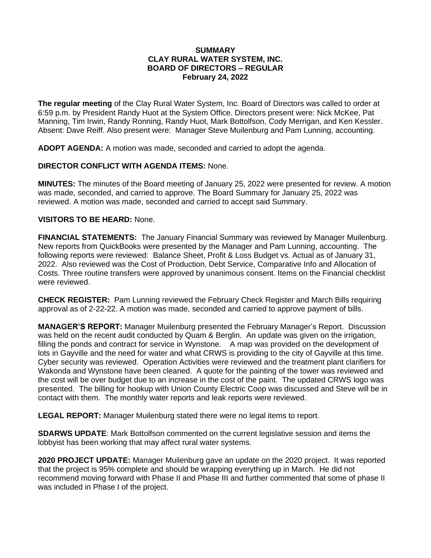### **SUMMARY CLAY RURAL WATER SYSTEM, INC. BOARD OF DIRECTORS – REGULAR February 24, 2022**

**The regular meeting** of the Clay Rural Water System, Inc. Board of Directors was called to order at 6:59 p.m. by President Randy Huot at the System Office. Directors present were: Nick McKee, Pat Manning, Tim Irwin, Randy Ronning, Randy Huot, Mark Bottolfson, Cody Merrigan, and Ken Kessler. Absent: Dave Reiff. Also present were: Manager Steve Muilenburg and Pam Lunning, accounting.

**ADOPT AGENDA:** A motion was made, seconded and carried to adopt the agenda.

### **DIRECTOR CONFLICT WITH AGENDA ITEMS:** None.

**MINUTES:** The minutes of the Board meeting of January 25, 2022 were presented for review. A motion was made, seconded, and carried to approve. The Board Summary for January 25, 2022 was reviewed. A motion was made, seconded and carried to accept said Summary.

### **VISITORS TO BE HEARD:** None.

**FINANCIAL STATEMENTS:** The January Financial Summary was reviewed by Manager Muilenburg. New reports from QuickBooks were presented by the Manager and Pam Lunning, accounting. The following reports were reviewed: Balance Sheet, Profit & Loss Budget vs. Actual as of January 31, 2022. Also reviewed was the Cost of Production, Debt Service, Comparative Info and Allocation of Costs. Three routine transfers were approved by unanimous consent. Items on the Financial checklist were reviewed.

**CHECK REGISTER:** Pam Lunning reviewed the February Check Register and March Bills requiring approval as of 2-22-22. A motion was made, seconded and carried to approve payment of bills.

**MANAGER'S REPORT:** Manager Muilenburg presented the February Manager's Report. Discussion was held on the recent audit conducted by Quam & Berglin. An update was given on the irrigation, filling the ponds and contract for service in Wynstone. A map was provided on the development of lots in Gayville and the need for water and what CRWS is providing to the city of Gayville at this time. Cyber security was reviewed. Operation Activities were reviewed and the treatment plant clarifiers for Wakonda and Wynstone have been cleaned. A quote for the painting of the tower was reviewed and the cost will be over budget due to an increase in the cost of the paint. The updated CRWS logo was presented. The billing for hookup with Union County Electric Coop was discussed and Steve will be in contact with them. The monthly water reports and leak reports were reviewed.

**LEGAL REPORT:** Manager Muilenburg stated there were no legal items to report.

**SDARWS UPDATE**: Mark Bottolfson commented on the current legislative session and items the lobbyist has been working that may affect rural water systems.

**2020 PROJECT UPDATE:** Manager Muilenburg gave an update on the 2020 project. It was reported that the project is 95% complete and should be wrapping everything up in March. He did not recommend moving forward with Phase II and Phase III and further commented that some of phase II was included in Phase I of the project.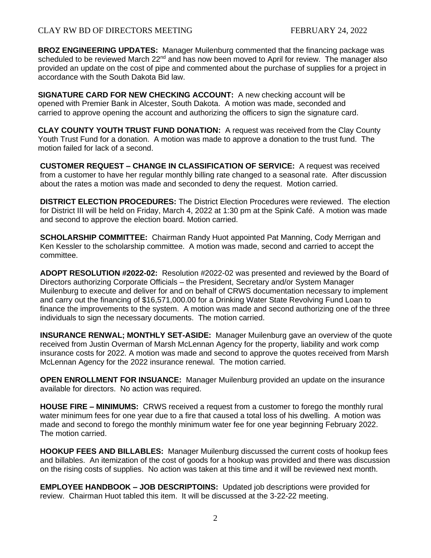**BROZ ENGINEERING UPDATES:** Manager Muilenburg commented that the financing package was scheduled to be reviewed March  $22<sup>nd</sup>$  and has now been moved to April for review. The manager also provided an update on the cost of pipe and commented about the purchase of supplies for a project in accordance with the South Dakota Bid law.

**SIGNATURE CARD FOR NEW CHECKING ACCOUNT:** A new checking account will be opened with Premier Bank in Alcester, South Dakota. A motion was made, seconded and carried to approve opening the account and authorizing the officers to sign the signature card.

**CLAY COUNTY YOUTH TRUST FUND DONATION:** A request was received from the Clay County Youth Trust Fund for a donation. A motion was made to approve a donation to the trust fund. The motion failed for lack of a second.

**CUSTOMER REQUEST – CHANGE IN CLASSIFICATION OF SERVICE:** A request was received from a customer to have her regular monthly billing rate changed to a seasonal rate. After discussion about the rates a motion was made and seconded to deny the request. Motion carried.

**DISTRICT ELECTION PROCEDURES:** The District Election Procedures were reviewed. The election for District III will be held on Friday, March 4, 2022 at 1:30 pm at the Spink Café. A motion was made and second to approve the election board. Motion carried.

**SCHOLARSHIP COMMITTEE:** Chairman Randy Huot appointed Pat Manning, Cody Merrigan and Ken Kessler to the scholarship committee. A motion was made, second and carried to accept the committee.

**ADOPT RESOLUTION #2022-02:** Resolution #2022-02 was presented and reviewed by the Board of Directors authorizing Corporate Officials – the President, Secretary and/or System Manager Muilenburg to execute and deliver for and on behalf of CRWS documentation necessary to implement and carry out the financing of \$16,571,000.00 for a Drinking Water State Revolving Fund Loan to finance the improvements to the system. A motion was made and second authorizing one of the three individuals to sign the necessary documents. The motion carried.

**INSURANCE RENWAL; MONTHLY SET-ASIDE:** Manager Muilenburg gave an overview of the quote received from Justin Overman of Marsh McLennan Agency for the property, liability and work comp insurance costs for 2022. A motion was made and second to approve the quotes received from Marsh McLennan Agency for the 2022 insurance renewal. The motion carried.

**OPEN ENROLLMENT FOR INSUANCE:** Manager Muilenburg provided an update on the insurance available for directors. No action was required.

**HOUSE FIRE – MINIMUMS:** CRWS received a request from a customer to forego the monthly rural water minimum fees for one year due to a fire that caused a total loss of his dwelling. A motion was made and second to forego the monthly minimum water fee for one year beginning February 2022. The motion carried.

**HOOKUP FEES AND BILLABLES:** Manager Muilenburg discussed the current costs of hookup fees and billables. An itemization of the cost of goods for a hookup was provided and there was discussion on the rising costs of supplies. No action was taken at this time and it will be reviewed next month.

**EMPLOYEE HANDBOOK – JOB DESCRIPTOINS:** Updated job descriptions were provided for review. Chairman Huot tabled this item. It will be discussed at the 3-22-22 meeting.